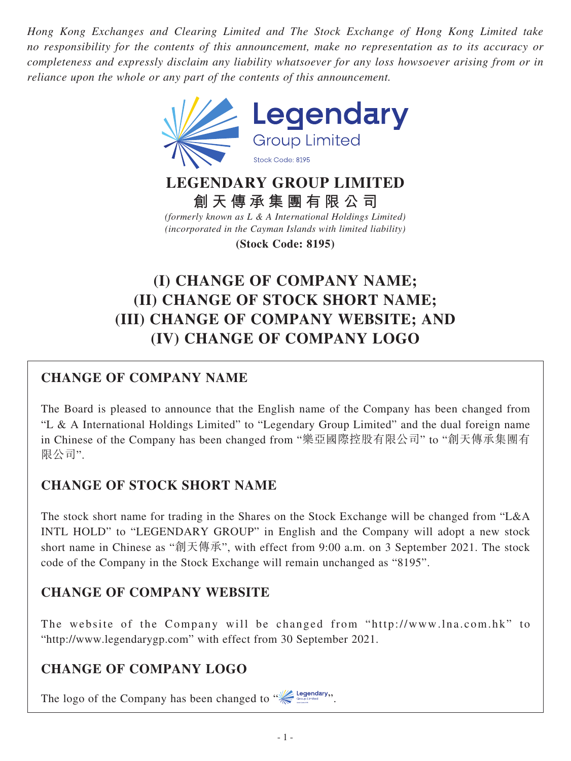*Hong Kong Exchanges and Clearing Limited and The Stock Exchange of Hong Kong Limited take no responsibility for the contents of this announcement, make no representation as to its accuracy or completeness and expressly disclaim any liability whatsoever for any loss howsoever arising from or in reliance upon the whole or any part of the contents of this announcement.*



### **LEGENDARY GROUP LIMITED 創天傳承集團有限公司**

*(formerly known as L & A International Holdings Limited) (incorporated in the Cayman Islands with limited liability)*

**(Stock Code: 8195)**

# **(I) CHANGE OF COMPANY NAME; (II) CHANGE OF STOCK SHORT NAME; (III) CHANGE OF COMPANY WEBSITE; AND (IV) CHANGE OF COMPANY LOGO**

# **CHANGE OF COMPANY NAME**

The Board is pleased to announce that the English name of the Company has been changed from "L & A International Holdings Limited" to "Legendary Group Limited" and the dual foreign name in Chinese of the Company has been changed from "樂亞國際控股有限公司" to "創天傳承集團有 限公司".

# **CHANGE OF STOCK SHORT NAME**

The stock short name for trading in the Shares on the Stock Exchange will be changed from "L&A INTL HOLD" to "LEGENDARY GROUP" in English and the Company will adopt a new stock short name in Chinese as "創天傳承", with effect from 9:00 a.m. on 3 September 2021. The stock code of the Company in the Stock Exchange will remain unchanged as "8195".

# **CHANGE OF COMPANY WEBSITE**

The website of the Company will be changed from "http://www.lna.com.hk" to "http://www.legendarygp.com" with effect from 30 September 2021.

#### **CHANGE OF COMPANY LOGO**

The logo of the Company has been changed to  $\mathcal{C}$  legendary,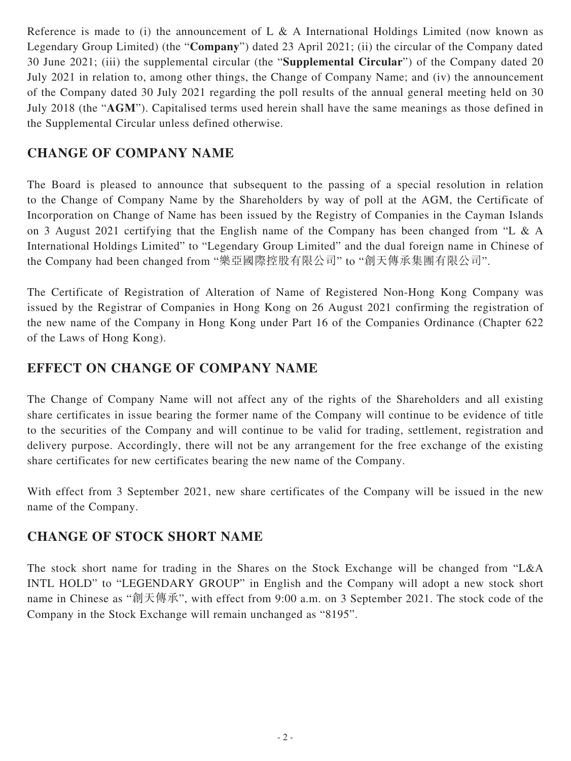Reference is made to (i) the announcement of L & A International Holdings Limited (now known as Legendary Group Limited) (the "**Company**") dated 23 April 2021; (ii) the circular of the Company dated 30 June 2021; (iii) the supplemental circular (the "**Supplemental Circular**") of the Company dated 20 July 2021 in relation to, among other things, the Change of Company Name; and (iv) the announcement of the Company dated 30 July 2021 regarding the poll results of the annual general meeting held on 30 July 2018 (the "**AGM**"). Capitalised terms used herein shall have the same meanings as those defined in the Supplemental Circular unless defined otherwise.

#### **CHANGE OF COMPANY NAME**

The Board is pleased to announce that subsequent to the passing of a special resolution in relation to the Change of Company Name by the Shareholders by way of poll at the AGM, the Certificate of Incorporation on Change of Name has been issued by the Registry of Companies in the Cayman Islands on 3 August 2021 certifying that the English name of the Company has been changed from "L & A International Holdings Limited" to "Legendary Group Limited" and the dual foreign name in Chinese of the Company had been changed from "樂亞國際控股有限公司" to "創天傳承集團有限公司".

The Certificate of Registration of Alteration of Name of Registered Non-Hong Kong Company was issued by the Registrar of Companies in Hong Kong on 26 August 2021 confirming the registration of the new name of the Company in Hong Kong under Part 16 of the Companies Ordinance (Chapter 622 of the Laws of Hong Kong).

#### **EFFECT ON CHANGE OF COMPANY NAME**

The Change of Company Name will not affect any of the rights of the Shareholders and all existing share certificates in issue bearing the former name of the Company will continue to be evidence of title to the securities of the Company and will continue to be valid for trading, settlement, registration and delivery purpose. Accordingly, there will not be any arrangement for the free exchange of the existing share certificates for new certificates bearing the new name of the Company.

With effect from 3 September 2021, new share certificates of the Company will be issued in the new name of the Company.

#### **CHANGE OF STOCK SHORT NAME**

The stock short name for trading in the Shares on the Stock Exchange will be changed from "L&A INTL HOLD" to "LEGENDARY GROUP" in English and the Company will adopt a new stock short name in Chinese as "創天傳承", with effect from 9:00 a.m. on 3 September 2021. The stock code of the Company in the Stock Exchange will remain unchanged as "8195".